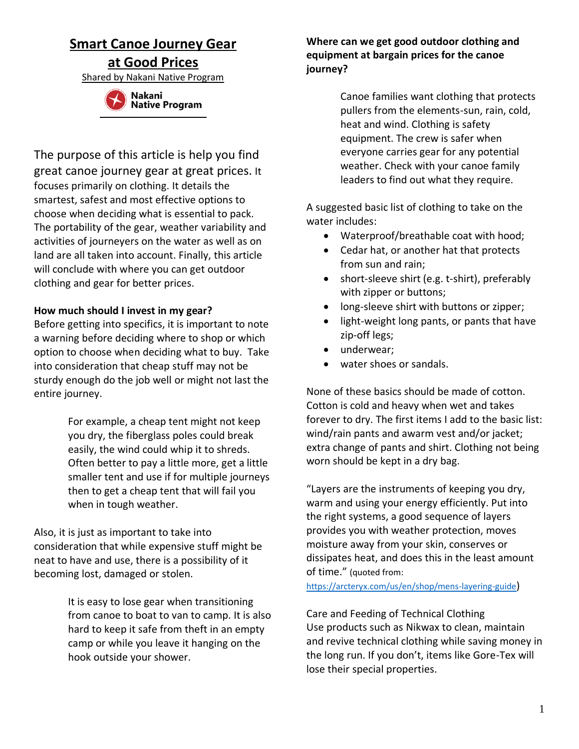# **Smart Canoe Journey Gear**

**at Good Prices**

Shared by Nakani Native Program



The purpose of this article is help you find great canoe journey gear at great prices. It focuses primarily on clothing. It details the smartest, safest and most effective options to choose when deciding what is essential to pack. The portability of the gear, weather variability and activities of journeyers on the water as well as on land are all taken into account. Finally, this article will conclude with where you can get outdoor clothing and gear for better prices.

# **How much should I invest in my gear?**

Before getting into specifics, it is important to note a warning before deciding where to shop or which option to choose when deciding what to buy. Take into consideration that cheap stuff may not be sturdy enough do the job well or might not last the entire journey.

> For example, a cheap tent might not keep you dry, the fiberglass poles could break easily, the wind could whip it to shreds. Often better to pay a little more, get a little smaller tent and use if for multiple journeys then to get a cheap tent that will fail you when in tough weather.

Also, it is just as important to take into consideration that while expensive stuff might be neat to have and use, there is a possibility of it becoming lost, damaged or stolen.

> It is easy to lose gear when transitioning from canoe to boat to van to camp. It is also hard to keep it safe from theft in an empty camp or while you leave it hanging on the hook outside your shower.

# **Where can we get good outdoor clothing and equipment at bargain prices for the canoe journey?**

Canoe families want clothing that protects pullers from the elements-sun, rain, cold, heat and wind. Clothing is safety equipment. The crew is safer when everyone carries gear for any potential weather. Check with your canoe family leaders to find out what they require.

A suggested basic list of clothing to take on the water includes:

- Waterproof/breathable coat with hood;
- Cedar hat, or another hat that protects from sun and rain;
- short-sleeve shirt (e.g. t-shirt), preferably with zipper or buttons;
- long-sleeve shirt with buttons or zipper;
- light-weight long pants, or pants that have zip-off legs;
- underwear;
- water shoes or sandals.

None of these basics should be made of cotton. Cotton is cold and heavy when wet and takes forever to dry. The first items I add to the basic list: wind/rain pants and awarm vest and/or jacket; extra change of pants and shirt. Clothing not being worn should be kept in a dry bag.

"Layers are the instruments of keeping you dry, warm and using your energy efficiently. Put into the right systems, a good sequence of layers provides you with weather protection, moves moisture away from your skin, conserves or dissipates heat, and does this in the least amount of time." (quoted from:

<https://arcteryx.com/us/en/shop/mens-layering-guide>)

Care and Feeding of Technical Clothing Use products such as Nikwax to clean, maintain and revive technical clothing while saving money in the long run. If you don't, items like Gore-Tex will lose their special properties.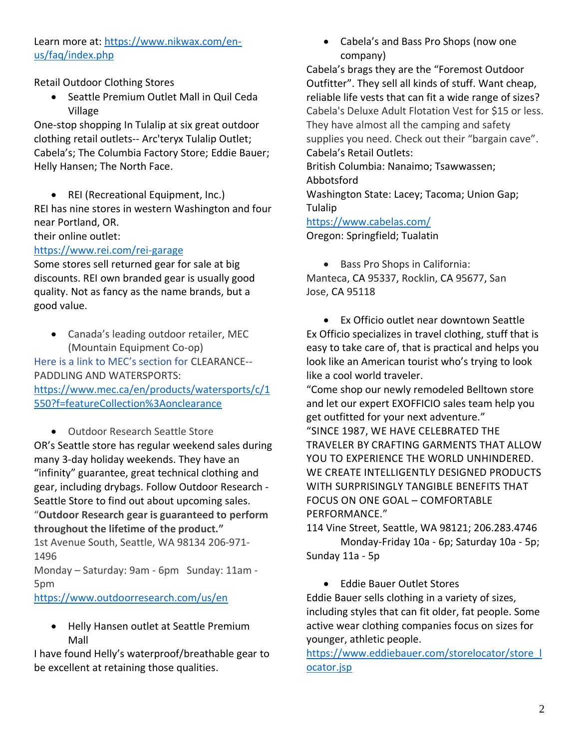# Learn more at: [https://www.nikwax.com/en](https://www.nikwax.com/en-us/faq/index.php)[us/faq/index.php](https://www.nikwax.com/en-us/faq/index.php)

Retail Outdoor Clothing Stores

• Seattle Premium Outlet Mall in Quil Ceda Village

One-stop shopping In Tulalip at six great outdoor clothing retail outlets-- Arc'teryx Tulalip Outlet; Cabela's; The Columbia Factory Store; Eddie Bauer; Helly Hansen; The North Face.

• REI (Recreational Equipment, Inc.) REI has nine stores in western Washington and four near Portland, OR.

# their online outlet:

#### <https://www.rei.com/rei-garage>

Some stores sell returned gear for sale at big discounts. REI own branded gear is usually good quality. Not as fancy as the name brands, but a good value.

• Canada's leading outdoor retailer, MEC (Mountain Equipment Co-op)

Here is a link to MEC's section for CLEARANCE-- PADDLING AND WATERSPORTS: [https://www.mec.ca/en/products/watersports/c/1](https://www.mec.ca/en/products/watersports/c/1550?f=featureCollection%3Aonclearance) [550?f=featureCollection%3Aonclearance](https://www.mec.ca/en/products/watersports/c/1550?f=featureCollection%3Aonclearance)

• Outdoor Research Seattle Store OR's Seattle store has regular weekend sales during many 3-day holiday weekends. They have an "infinity" guarantee, great technical clothing and gear, including drybags. Follow Outdoor Research - Seattle Store to find out about upcoming sales. "**Outdoor Research gear is guaranteed to perform throughout the lifetime of the product."** 1st Avenue South, Seattle, WA 98134 206-971- 1496

Monday – Saturday: 9am - 6pm Sunday: 11am - 5pm

<https://www.outdoorresearch.com/us/en>

• Helly Hansen outlet at Seattle Premium Mall

I have found Helly's waterproof/breathable gear to be excellent at retaining those qualities.

• Cabela's and Bass Pro Shops (now one company)

Cabela's brags they are the "Foremost Outdoor Outfitter". They sell all kinds of stuff. Want cheap, reliable life vests that can fit a wide range of sizes? Cabela's Deluxe Adult Flotation Vest for \$15 or less. They have almost all the camping and safety supplies you need. Check out their "bargain cave". Cabela's Retail Outlets: British Columbia: Nanaimo; Tsawwassen; Abbotsford Washington State: Lacey; Tacoma; Union Gap; Tulalip

#### <https://www.cabelas.com/>

Oregon: Springfield; Tualatin

• Bass Pro Shops in California:

Manteca, CA 95337, Rocklin, CA 95677, San Jose, CA 95118

• Ex Officio outlet near downtown Seattle Ex Officio specializes in travel clothing, stuff that is easy to take care of, that is practical and helps you look like an American tourist who's trying to look like a cool world traveler.

"Come shop our newly remodeled Belltown store and let our expert EXOFFICIO sales team help you get outfitted for your next adventure." "SINCE 1987, WE HAVE CELEBRATED THE TRAVELER BY CRAFTING GARMENTS THAT ALLOW YOU TO EXPERIENCE THE WORLD UNHINDERED. WE CREATE INTELLIGENTLY DESIGNED PRODUCTS WITH SURPRISINGLY TANGIBLE BENEFITS THAT FOCUS ON ONE GOAL – COMFORTABLE PERFORMANCE."

114 Vine Street, Seattle, WA 98121; 206.283.4746 Monday-Friday 10a - 6p; Saturday 10a - 5p; Sunday 11a - 5p

• Eddie Bauer Outlet Stores

Eddie Bauer sells clothing in a variety of sizes, including styles that can fit older, fat people. Some active wear clothing companies focus on sizes for younger, athletic people.

[https://www.eddiebauer.com/storelocator/store\\_l](https://www.eddiebauer.com/storelocator/store_locator.jsp) [ocator.jsp](https://www.eddiebauer.com/storelocator/store_locator.jsp)